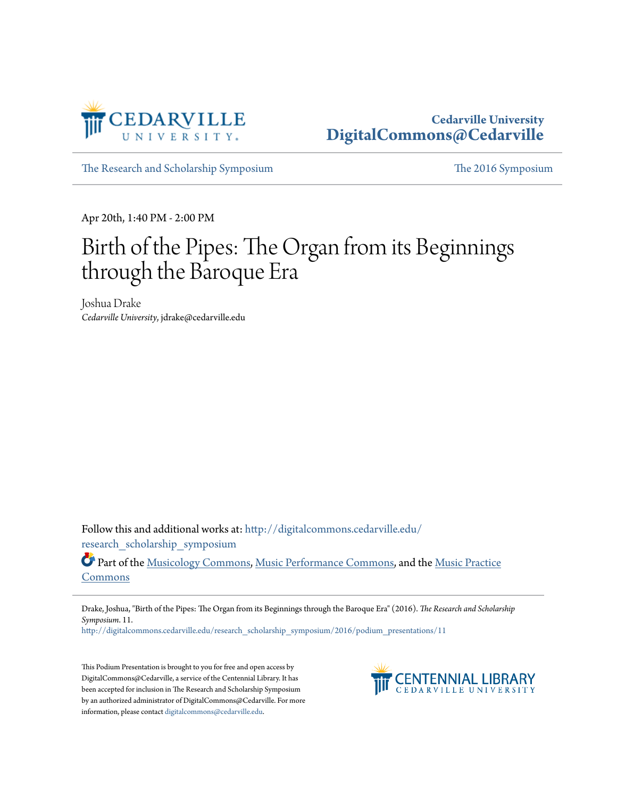

## **Cedarville University [DigitalCommons@Cedarville](http://digitalcommons.cedarville.edu?utm_source=digitalcommons.cedarville.edu%2Fresearch_scholarship_symposium%2F2016%2Fpodium_presentations%2F11&utm_medium=PDF&utm_campaign=PDFCoverPages)**

[The Research and Scholarship Symposium](http://digitalcommons.cedarville.edu/research_scholarship_symposium?utm_source=digitalcommons.cedarville.edu%2Fresearch_scholarship_symposium%2F2016%2Fpodium_presentations%2F11&utm_medium=PDF&utm_campaign=PDFCoverPages) [The 2016 Symposium](http://digitalcommons.cedarville.edu/research_scholarship_symposium/2016?utm_source=digitalcommons.cedarville.edu%2Fresearch_scholarship_symposium%2F2016%2Fpodium_presentations%2F11&utm_medium=PDF&utm_campaign=PDFCoverPages)

Apr 20th, 1:40 PM - 2:00 PM

## Birth of the Pipes: The Organ from its Beginnings through the Baroque Era

Joshua Drake *Cedarville University*, jdrake@cedarville.edu

Follow this and additional works at: [http://digitalcommons.cedarville.edu/](http://digitalcommons.cedarville.edu/research_scholarship_symposium?utm_source=digitalcommons.cedarville.edu%2Fresearch_scholarship_symposium%2F2016%2Fpodium_presentations%2F11&utm_medium=PDF&utm_campaign=PDFCoverPages) [research\\_scholarship\\_symposium](http://digitalcommons.cedarville.edu/research_scholarship_symposium?utm_source=digitalcommons.cedarville.edu%2Fresearch_scholarship_symposium%2F2016%2Fpodium_presentations%2F11&utm_medium=PDF&utm_campaign=PDFCoverPages)

Part of the [Musicology Commons,](http://network.bepress.com/hgg/discipline/521?utm_source=digitalcommons.cedarville.edu%2Fresearch_scholarship_symposium%2F2016%2Fpodium_presentations%2F11&utm_medium=PDF&utm_campaign=PDFCoverPages) [Music Performance Commons](http://network.bepress.com/hgg/discipline/1128?utm_source=digitalcommons.cedarville.edu%2Fresearch_scholarship_symposium%2F2016%2Fpodium_presentations%2F11&utm_medium=PDF&utm_campaign=PDFCoverPages), and the [Music Practice](http://network.bepress.com/hgg/discipline/523?utm_source=digitalcommons.cedarville.edu%2Fresearch_scholarship_symposium%2F2016%2Fpodium_presentations%2F11&utm_medium=PDF&utm_campaign=PDFCoverPages) [Commons](http://network.bepress.com/hgg/discipline/523?utm_source=digitalcommons.cedarville.edu%2Fresearch_scholarship_symposium%2F2016%2Fpodium_presentations%2F11&utm_medium=PDF&utm_campaign=PDFCoverPages)

Drake, Joshua, "Birth of the Pipes: The Organ from its Beginnings through the Baroque Era" (2016). *The Research and Scholarship Symposium*. 11.

[http://digitalcommons.cedarville.edu/research\\_scholarship\\_symposium/2016/podium\\_presentations/11](http://digitalcommons.cedarville.edu/research_scholarship_symposium/2016/podium_presentations/11?utm_source=digitalcommons.cedarville.edu%2Fresearch_scholarship_symposium%2F2016%2Fpodium_presentations%2F11&utm_medium=PDF&utm_campaign=PDFCoverPages)

This Podium Presentation is brought to you for free and open access by DigitalCommons@Cedarville, a service of the Centennial Library. It has been accepted for inclusion in The Research and Scholarship Symposium by an authorized administrator of DigitalCommons@Cedarville. For more information, please contact [digitalcommons@cedarville.edu.](mailto:digitalcommons@cedarville.edu)

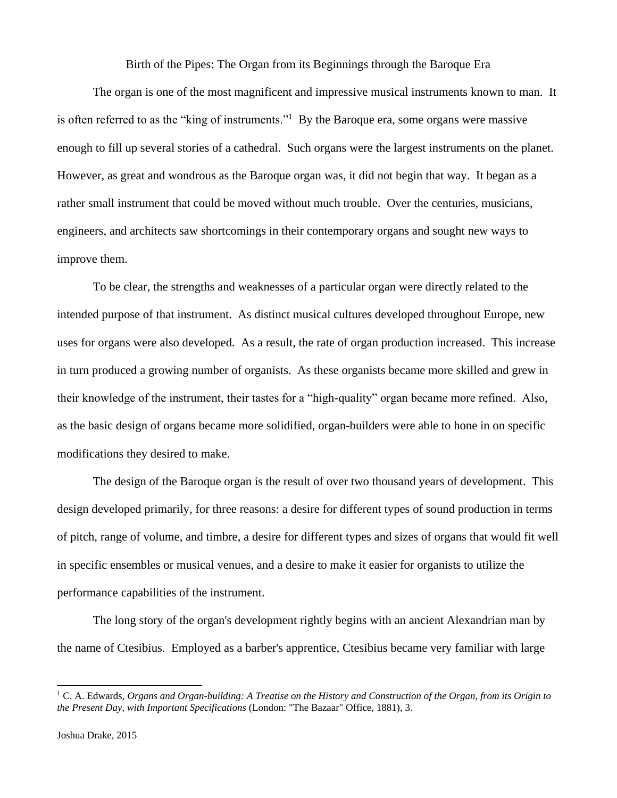Birth of the Pipes: The Organ from its Beginnings through the Baroque Era

The organ is one of the most magnificent and impressive musical instruments known to man. It is often referred to as the "king of instruments."<sup>1</sup> By the Baroque era, some organs were massive enough to fill up several stories of a cathedral. Such organs were the largest instruments on the planet. However, as great and wondrous as the Baroque organ was, it did not begin that way. It began as a rather small instrument that could be moved without much trouble. Over the centuries, musicians, engineers, and architects saw shortcomings in their contemporary organs and sought new ways to improve them.

To be clear, the strengths and weaknesses of a particular organ were directly related to the intended purpose of that instrument. As distinct musical cultures developed throughout Europe, new uses for organs were also developed. As a result, the rate of organ production increased. This increase in turn produced a growing number of organists. As these organists became more skilled and grew in their knowledge of the instrument, their tastes for a "high-quality" organ became more refined. Also, as the basic design of organs became more solidified, organ-builders were able to hone in on specific modifications they desired to make.

The design of the Baroque organ is the result of over two thousand years of development. This design developed primarily, for three reasons: a desire for different types of sound production in terms of pitch, range of volume, and timbre, a desire for different types and sizes of organs that would fit well in specific ensembles or musical venues, and a desire to make it easier for organists to utilize the performance capabilities of the instrument.

The long story of the organ's development rightly begins with an ancient Alexandrian man by the name of Ctesibius. Employed as a barber's apprentice, Ctesibius became very familiar with large

<sup>1</sup> C. A. Edwards, *Organs and Organ-building: A Treatise on the History and Construction of the Organ, from its Origin to the Present Day, with Important Specifications* (London: "The Bazaar" Office, 1881), 3.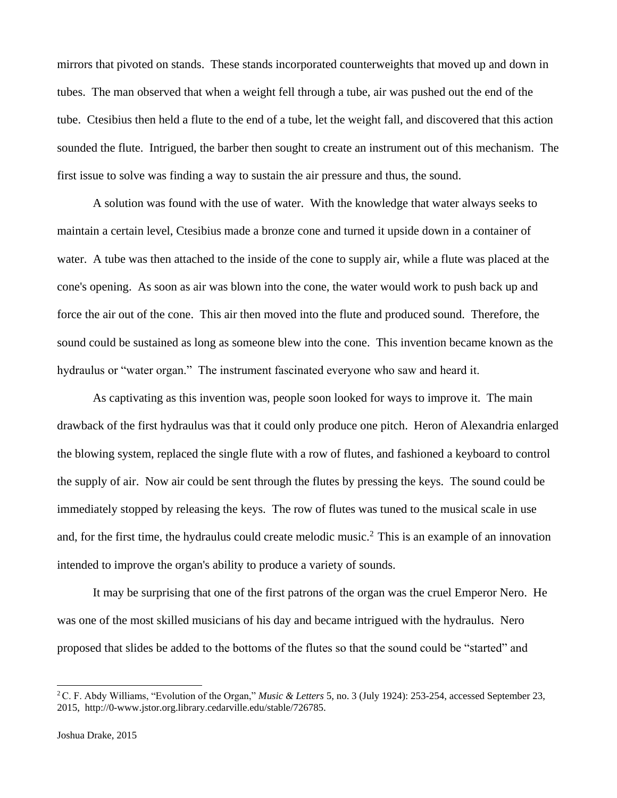mirrors that pivoted on stands. These stands incorporated counterweights that moved up and down in tubes. The man observed that when a weight fell through a tube, air was pushed out the end of the tube. Ctesibius then held a flute to the end of a tube, let the weight fall, and discovered that this action sounded the flute. Intrigued, the barber then sought to create an instrument out of this mechanism. The first issue to solve was finding a way to sustain the air pressure and thus, the sound.

A solution was found with the use of water. With the knowledge that water always seeks to maintain a certain level, Ctesibius made a bronze cone and turned it upside down in a container of water. A tube was then attached to the inside of the cone to supply air, while a flute was placed at the cone's opening. As soon as air was blown into the cone, the water would work to push back up and force the air out of the cone. This air then moved into the flute and produced sound. Therefore, the sound could be sustained as long as someone blew into the cone. This invention became known as the hydraulus or "water organ." The instrument fascinated everyone who saw and heard it.

As captivating as this invention was, people soon looked for ways to improve it. The main drawback of the first hydraulus was that it could only produce one pitch. Heron of Alexandria enlarged the blowing system, replaced the single flute with a row of flutes, and fashioned a keyboard to control the supply of air. Now air could be sent through the flutes by pressing the keys. The sound could be immediately stopped by releasing the keys. The row of flutes was tuned to the musical scale in use and, for the first time, the hydraulus could create melodic music.<sup>2</sup> This is an example of an innovation intended to improve the organ's ability to produce a variety of sounds.

It may be surprising that one of the first patrons of the organ was the cruel Emperor Nero. He was one of the most skilled musicians of his day and became intrigued with the hydraulus. Nero proposed that slides be added to the bottoms of the flutes so that the sound could be "started" and

<sup>2</sup>C. F. Abdy Williams, "Evolution of the Organ," *Music & Letters* 5, no. 3 (July 1924): 253-254, accessed September 23, 2015, http://0-www.jstor.org.library.cedarville.edu/stable/726785.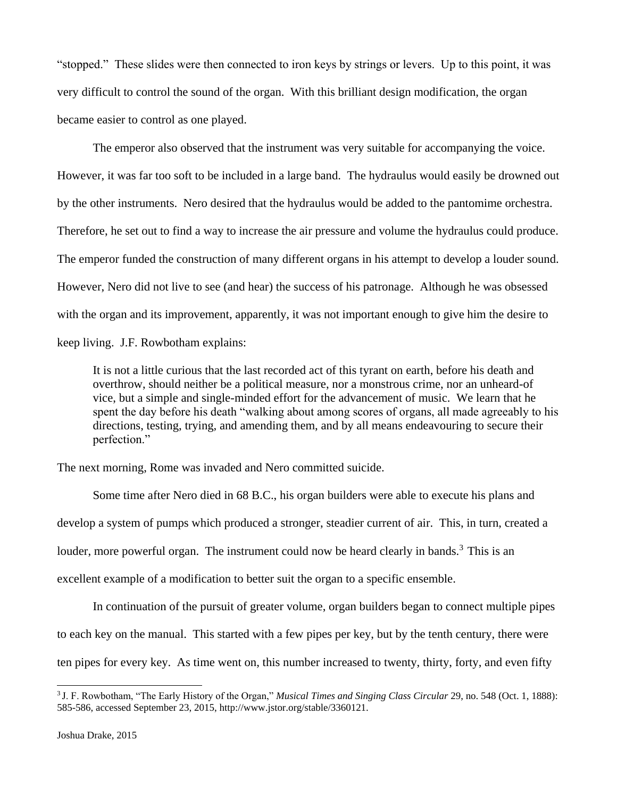"stopped." These slides were then connected to iron keys by strings or levers. Up to this point, it was very difficult to control the sound of the organ. With this brilliant design modification, the organ became easier to control as one played.

The emperor also observed that the instrument was very suitable for accompanying the voice. However, it was far too soft to be included in a large band. The hydraulus would easily be drowned out by the other instruments. Nero desired that the hydraulus would be added to the pantomime orchestra. Therefore, he set out to find a way to increase the air pressure and volume the hydraulus could produce. The emperor funded the construction of many different organs in his attempt to develop a louder sound. However, Nero did not live to see (and hear) the success of his patronage. Although he was obsessed with the organ and its improvement, apparently, it was not important enough to give him the desire to keep living. J.F. Rowbotham explains:

It is not a little curious that the last recorded act of this tyrant on earth, before his death and overthrow, should neither be a political measure, nor a monstrous crime, nor an unheard-of vice, but a simple and single-minded effort for the advancement of music. We learn that he spent the day before his death "walking about among scores of organs, all made agreeably to his directions, testing, trying, and amending them, and by all means endeavouring to secure their perfection."

The next morning, Rome was invaded and Nero committed suicide.

Some time after Nero died in 68 B.C., his organ builders were able to execute his plans and develop a system of pumps which produced a stronger, steadier current of air. This, in turn, created a louder, more powerful organ. The instrument could now be heard clearly in bands.<sup>3</sup> This is an excellent example of a modification to better suit the organ to a specific ensemble.

In continuation of the pursuit of greater volume, organ builders began to connect multiple pipes to each key on the manual. This started with a few pipes per key, but by the tenth century, there were ten pipes for every key. As time went on, this number increased to twenty, thirty, forty, and even fifty

<sup>3</sup> J. F. Rowbotham, "The Early History of the Organ," *Musical Times and Singing Class Circular* 29, no. 548 (Oct. 1, 1888): 585-586, accessed September 23, 2015, http://www.jstor.org/stable/3360121.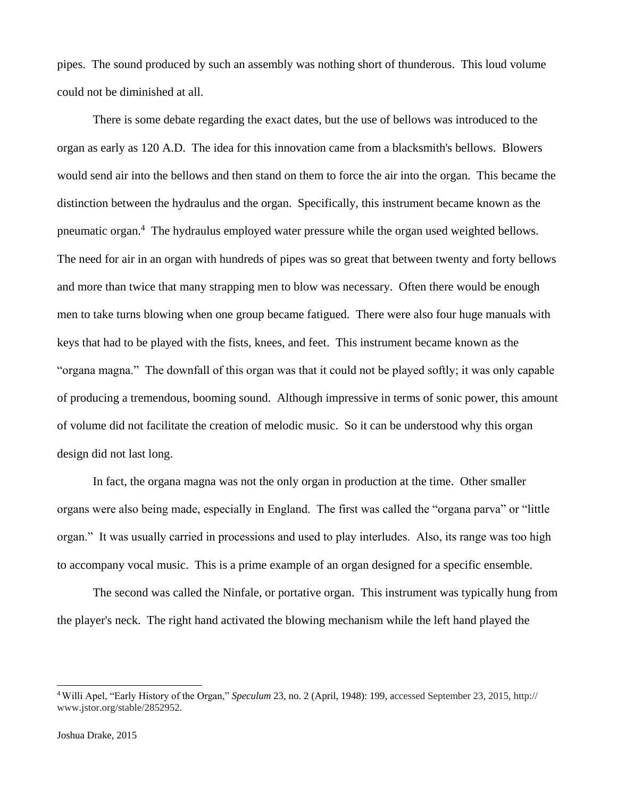pipes. The sound produced by such an assembly was nothing short of thunderous. This loud volume could not be diminished at all.

There is some debate regarding the exact dates, but the use of bellows was introduced to the organ as early as 120 A.D. The idea for this innovation came from a blacksmith's bellows. Blowers would send air into the bellows and then stand on them to force the air into the organ. This became the distinction between the hydraulus and the organ. Specifically, this instrument became known as the pneumatic organ.<sup>4</sup> The hydraulus employed water pressure while the organ used weighted bellows. The need for air in an organ with hundreds of pipes was so great that between twenty and forty bellows and more than twice that many strapping men to blow was necessary. Often there would be enough men to take turns blowing when one group became fatigued. There were also four huge manuals with keys that had to be played with the fists, knees, and feet. This instrument became known as the "organa magna." The downfall of this organ was that it could not be played softly; it was only capable of producing a tremendous, booming sound. Although impressive in terms of sonic power, this amount of volume did not facilitate the creation of melodic music. So it can be understood why this organ design did not last long.

In fact, the organa magna was not the only organ in production at the time. Other smaller organs were also being made, especially in England. The first was called the "organa parva" or "little organ." It was usually carried in processions and used to play interludes. Also, its range was too high to accompany vocal music. This is a prime example of an organ designed for a specific ensemble.

The second was called the Ninfale, or portative organ. This instrument was typically hung from the player's neck. The right hand activated the blowing mechanism while the left hand played the

<sup>4</sup>Willi Apel, "Early History of the Organ," *Speculum* 23, no. 2 (April, 1948): 199, accessed September 23, 2015, http:// www.jstor.org/stable/2852952.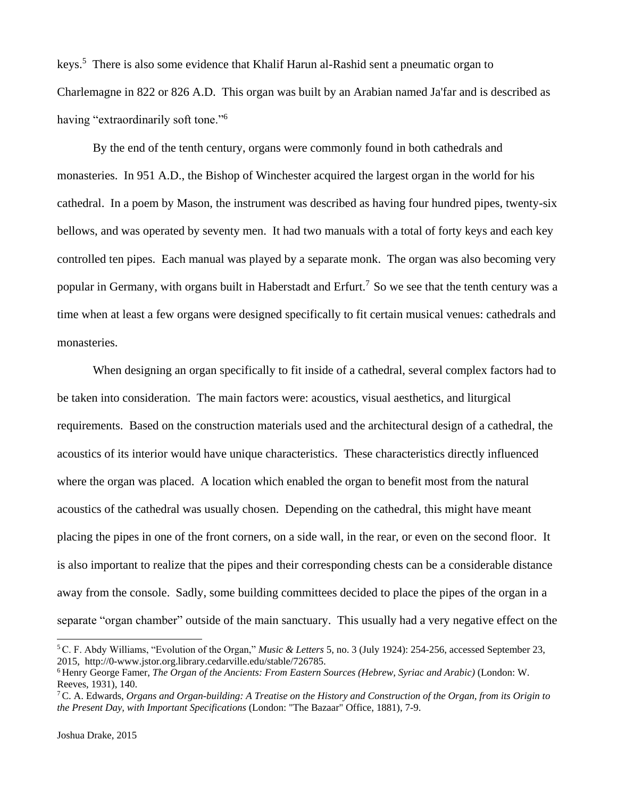keys.<sup>5</sup> There is also some evidence that Khalif Harun al-Rashid sent a pneumatic organ to Charlemagne in 822 or 826 A.D. This organ was built by an Arabian named Ja'far and is described as having "extraordinarily soft tone."<sup>6</sup>

By the end of the tenth century, organs were commonly found in both cathedrals and monasteries. In 951 A.D., the Bishop of Winchester acquired the largest organ in the world for his cathedral. In a poem by Mason, the instrument was described as having four hundred pipes, twenty-six bellows, and was operated by seventy men. It had two manuals with a total of forty keys and each key controlled ten pipes. Each manual was played by a separate monk. The organ was also becoming very popular in Germany, with organs built in Haberstadt and Erfurt.<sup>7</sup> So we see that the tenth century was a time when at least a few organs were designed specifically to fit certain musical venues: cathedrals and monasteries.

When designing an organ specifically to fit inside of a cathedral, several complex factors had to be taken into consideration. The main factors were: acoustics, visual aesthetics, and liturgical requirements. Based on the construction materials used and the architectural design of a cathedral, the acoustics of its interior would have unique characteristics. These characteristics directly influenced where the organ was placed. A location which enabled the organ to benefit most from the natural acoustics of the cathedral was usually chosen. Depending on the cathedral, this might have meant placing the pipes in one of the front corners, on a side wall, in the rear, or even on the second floor. It is also important to realize that the pipes and their corresponding chests can be a considerable distance away from the console. Sadly, some building committees decided to place the pipes of the organ in a separate "organ chamber" outside of the main sanctuary. This usually had a very negative effect on the

<sup>5</sup>C. F. Abdy Williams, "Evolution of the Organ," *Music & Letters* 5, no. 3 (July 1924): 254-256, accessed September 23, 2015, http://0-www.jstor.org.library.cedarville.edu/stable/726785.

<sup>6</sup> Henry George Famer, *The Organ of the Ancients: From Eastern Sources (Hebrew, Syriac and Arabic)* (London: W. Reeves, 1931), 140.

<sup>7</sup>C. A. Edwards, *Organs and Organ-building: A Treatise on the History and Construction of the Organ, from its Origin to the Present Day, with Important Specifications* (London: "The Bazaar" Office, 1881), 7-9.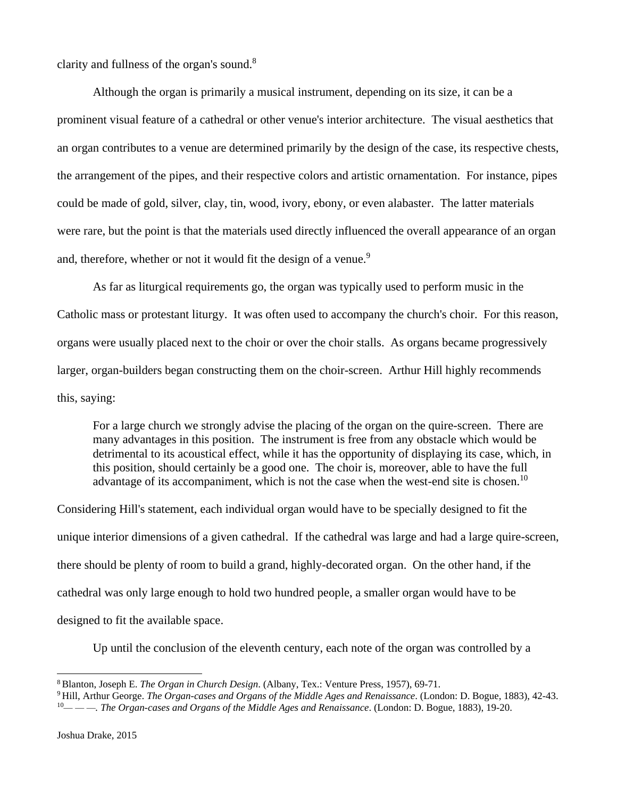clarity and fullness of the organ's sound. $8$ 

Although the organ is primarily a musical instrument, depending on its size, it can be a prominent visual feature of a cathedral or other venue's interior architecture. The visual aesthetics that an organ contributes to a venue are determined primarily by the design of the case, its respective chests, the arrangement of the pipes, and their respective colors and artistic ornamentation. For instance, pipes could be made of gold, silver, clay, tin, wood, ivory, ebony, or even alabaster. The latter materials were rare, but the point is that the materials used directly influenced the overall appearance of an organ and, therefore, whether or not it would fit the design of a venue.<sup>9</sup>

As far as liturgical requirements go, the organ was typically used to perform music in the Catholic mass or protestant liturgy. It was often used to accompany the church's choir. For this reason, organs were usually placed next to the choir or over the choir stalls. As organs became progressively larger, organ-builders began constructing them on the choir-screen. Arthur Hill highly recommends this, saying:

For a large church we strongly advise the placing of the organ on the quire-screen. There are many advantages in this position. The instrument is free from any obstacle which would be detrimental to its acoustical effect, while it has the opportunity of displaying its case, which, in this position, should certainly be a good one. The choir is, moreover, able to have the full advantage of its accompaniment, which is not the case when the west-end site is chosen.<sup>10</sup>

Considering Hill's statement, each individual organ would have to be specially designed to fit the unique interior dimensions of a given cathedral. If the cathedral was large and had a large quire-screen, there should be plenty of room to build a grand, highly-decorated organ. On the other hand, if the cathedral was only large enough to hold two hundred people, a smaller organ would have to be designed to fit the available space.

Up until the conclusion of the eleventh century, each note of the organ was controlled by a

<sup>8</sup>Blanton, Joseph E. *The Organ in Church Design*. (Albany, Tex.: Venture Press, 1957), 69-71.

<sup>9</sup> Hill, Arthur George. *The Organ-cases and Organs of the Middle Ages and Renaissance*. (London: D. Bogue, 1883), 42-43.

<sup>10</sup>*— — —. The Organ-cases and Organs of the Middle Ages and Renaissance*. (London: D. Bogue, 1883), 19-20.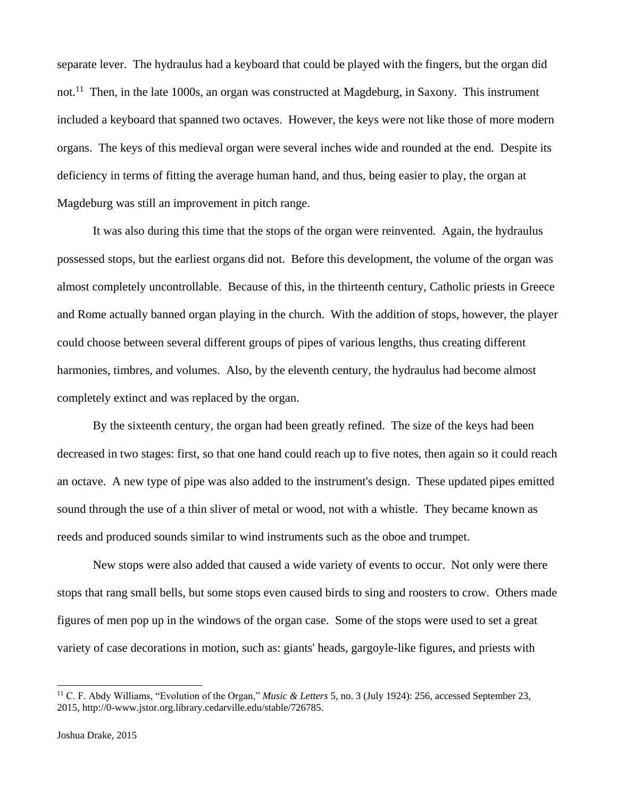separate lever. The hydraulus had a keyboard that could be played with the fingers, but the organ did not.<sup>11</sup> Then, in the late 1000s, an organ was constructed at Magdeburg, in Saxony. This instrument included a keyboard that spanned two octaves. However, the keys were not like those of more modern organs. The keys of this medieval organ were several inches wide and rounded at the end. Despite its deficiency in terms of fitting the average human hand, and thus, being easier to play, the organ at Magdeburg was still an improvement in pitch range.

It was also during this time that the stops of the organ were reinvented. Again, the hydraulus possessed stops, but the earliest organs did not. Before this development, the volume of the organ was almost completely uncontrollable. Because of this, in the thirteenth century, Catholic priests in Greece and Rome actually banned organ playing in the church. With the addition of stops, however, the player could choose between several different groups of pipes of various lengths, thus creating different harmonies, timbres, and volumes. Also, by the eleventh century, the hydraulus had become almost completely extinct and was replaced by the organ.

By the sixteenth century, the organ had been greatly refined. The size of the keys had been decreased in two stages: first, so that one hand could reach up to five notes, then again so it could reach an octave. A new type of pipe was also added to the instrument's design. These updated pipes emitted sound through the use of a thin sliver of metal or wood, not with a whistle. They became known as reeds and produced sounds similar to wind instruments such as the oboe and trumpet.

New stops were also added that caused a wide variety of events to occur. Not only were there stops that rang small bells, but some stops even caused birds to sing and roosters to crow. Others made figures of men pop up in the windows of the organ case. Some of the stops were used to set a great variety of case decorations in motion, such as: giants' heads, gargoyle-like figures, and priests with

<sup>11</sup> C. F. Abdy Williams, "Evolution of the Organ," *Music & Letters* 5, no. 3 (July 1924): 256, accessed September 23, 2015, http://0-www.jstor.org.library.cedarville.edu/stable/726785.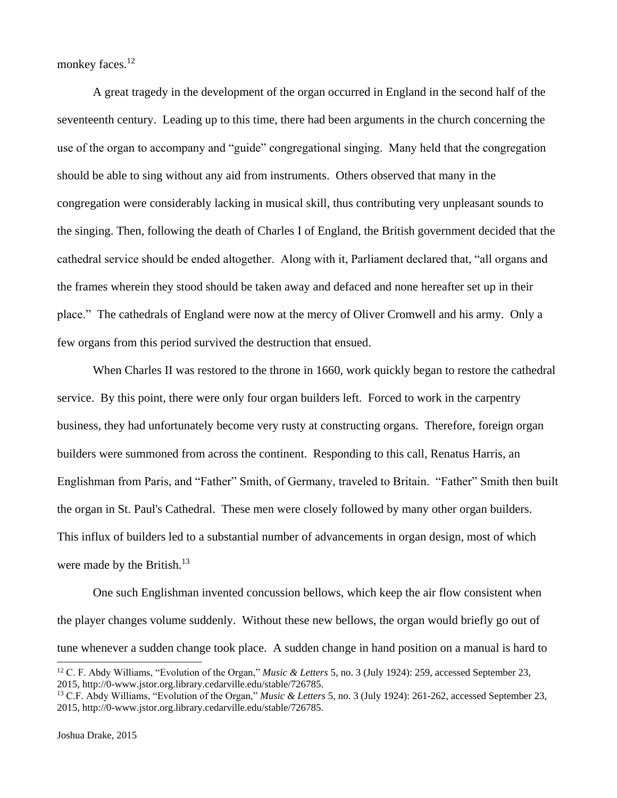monkey faces.<sup>12</sup>

A great tragedy in the development of the organ occurred in England in the second half of the seventeenth century. Leading up to this time, there had been arguments in the church concerning the use of the organ to accompany and "guide" congregational singing. Many held that the congregation should be able to sing without any aid from instruments. Others observed that many in the congregation were considerably lacking in musical skill, thus contributing very unpleasant sounds to the singing. Then, following the death of Charles I of England, the British government decided that the cathedral service should be ended altogether. Along with it, Parliament declared that, "all organs and the frames wherein they stood should be taken away and defaced and none hereafter set up in their place." The cathedrals of England were now at the mercy of Oliver Cromwell and his army. Only a few organs from this period survived the destruction that ensued.

When Charles II was restored to the throne in 1660, work quickly began to restore the cathedral service. By this point, there were only four organ builders left. Forced to work in the carpentry business, they had unfortunately become very rusty at constructing organs. Therefore, foreign organ builders were summoned from across the continent. Responding to this call, Renatus Harris, an Englishman from Paris, and "Father" Smith, of Germany, traveled to Britain. "Father" Smith then built the organ in St. Paul's Cathedral. These men were closely followed by many other organ builders. This influx of builders led to a substantial number of advancements in organ design, most of which were made by the British.<sup>13</sup>

One such Englishman invented concussion bellows, which keep the air flow consistent when the player changes volume suddenly. Without these new bellows, the organ would briefly go out of tune whenever a sudden change took place. A sudden change in hand position on a manual is hard to

<sup>12</sup> C. F. Abdy Williams, "Evolution of the Organ," *Music & Letters* 5, no. 3 (July 1924): 259, accessed September 23, 2015, http://0-www.jstor.org.library.cedarville.edu/stable/726785.

<sup>13</sup> C.F. Abdy Williams, "Evolution of the Organ," *Music & Letters* 5, no. 3 (July 1924): 261-262, accessed September 23, 2015, http://0-www.jstor.org.library.cedarville.edu/stable/726785.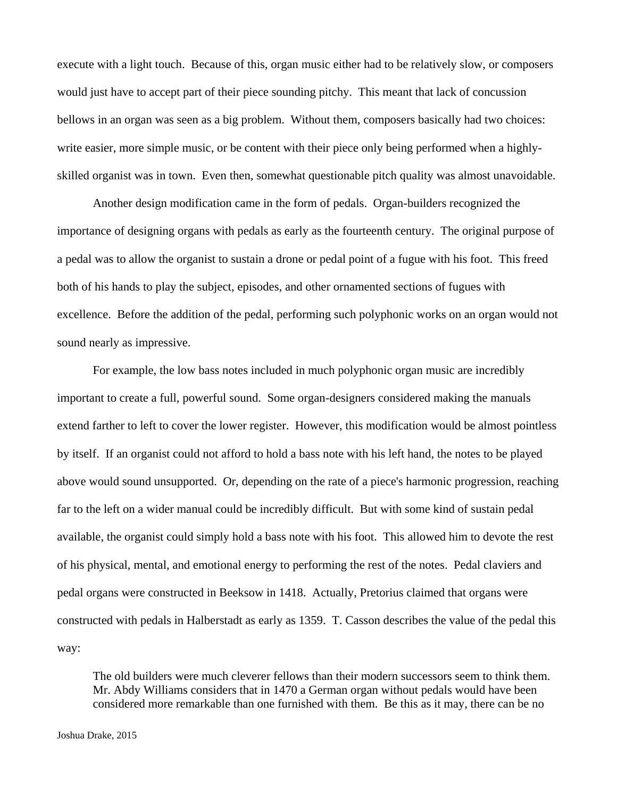execute with a light touch. Because of this, organ music either had to be relatively slow, or composers would just have to accept part of their piece sounding pitchy. This meant that lack of concussion bellows in an organ was seen as a big problem. Without them, composers basically had two choices: write easier, more simple music, or be content with their piece only being performed when a highlyskilled organist was in town. Even then, somewhat questionable pitch quality was almost unavoidable.

Another design modification came in the form of pedals. Organ-builders recognized the importance of designing organs with pedals as early as the fourteenth century. The original purpose of a pedal was to allow the organist to sustain a drone or pedal point of a fugue with his foot. This freed both of his hands to play the subject, episodes, and other ornamented sections of fugues with excellence. Before the addition of the pedal, performing such polyphonic works on an organ would not sound nearly as impressive.

For example, the low bass notes included in much polyphonic organ music are incredibly important to create a full, powerful sound. Some organ-designers considered making the manuals extend farther to left to cover the lower register. However, this modification would be almost pointless by itself. If an organist could not afford to hold a bass note with his left hand, the notes to be played above would sound unsupported. Or, depending on the rate of a piece's harmonic progression, reaching far to the left on a wider manual could be incredibly difficult. But with some kind of sustain pedal available, the organist could simply hold a bass note with his foot. This allowed him to devote the rest of his physical, mental, and emotional energy to performing the rest of the notes. Pedal claviers and pedal organs were constructed in Beeksow in 1418. Actually, Pretorius claimed that organs were constructed with pedals in Halberstadt as early as 1359. T. Casson describes the value of the pedal this way:

The old builders were much cleverer fellows than their modern successors seem to think them. Mr. Abdy Williams considers that in 1470 a German organ without pedals would have been considered more remarkable than one furnished with them. Be this as it may, there can be no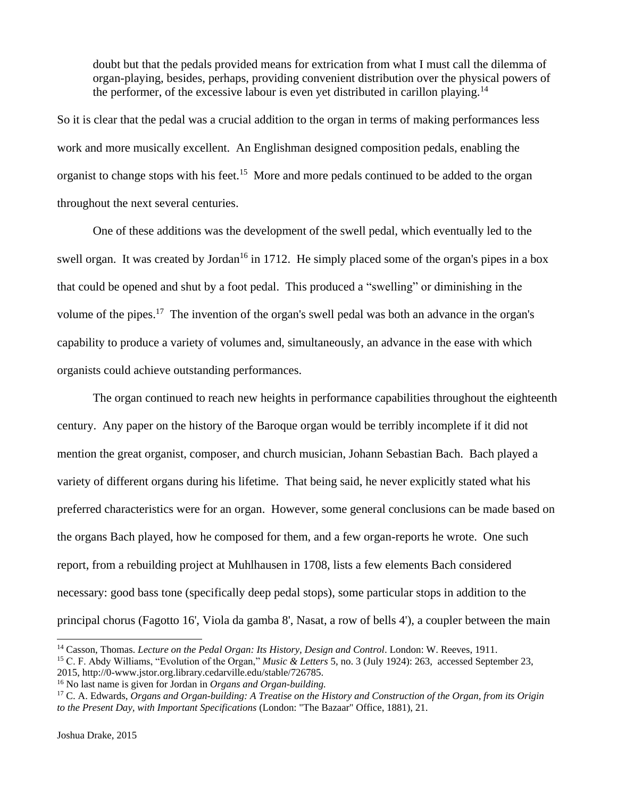doubt but that the pedals provided means for extrication from what I must call the dilemma of organ-playing, besides, perhaps, providing convenient distribution over the physical powers of the performer, of the excessive labour is even yet distributed in carillon playing.<sup>14</sup>

So it is clear that the pedal was a crucial addition to the organ in terms of making performances less work and more musically excellent. An Englishman designed composition pedals, enabling the organist to change stops with his feet.<sup>15</sup> More and more pedals continued to be added to the organ throughout the next several centuries.

One of these additions was the development of the swell pedal, which eventually led to the swell organ. It was created by Jordan<sup>16</sup> in 1712. He simply placed some of the organ's pipes in a box that could be opened and shut by a foot pedal. This produced a "swelling" or diminishing in the volume of the pipes.<sup>17</sup> The invention of the organ's swell pedal was both an advance in the organ's capability to produce a variety of volumes and, simultaneously, an advance in the ease with which organists could achieve outstanding performances.

The organ continued to reach new heights in performance capabilities throughout the eighteenth century. Any paper on the history of the Baroque organ would be terribly incomplete if it did not mention the great organist, composer, and church musician, Johann Sebastian Bach. Bach played a variety of different organs during his lifetime. That being said, he never explicitly stated what his preferred characteristics were for an organ. However, some general conclusions can be made based on the organs Bach played, how he composed for them, and a few organ-reports he wrote. One such report, from a rebuilding project at Muhlhausen in 1708, lists a few elements Bach considered necessary: good bass tone (specifically deep pedal stops), some particular stops in addition to the principal chorus (Fagotto 16', Viola da gamba 8', Nasat, a row of bells 4'), a coupler between the main

<sup>&</sup>lt;sup>14</sup> Casson, Thomas. *Lecture on the Pedal Organ: Its History, Design and Control*. London: W. Reeves, 1911. <sup>15</sup> C. F. Abdy Williams, "Evolution of the Organ," *Music & Letters* 5, no. 3 (July 1924): 263, accessed September 23, 2015, http://0-www.jstor.org.library.cedarville.edu/stable/726785.

<sup>16</sup> No last name is given for Jordan in *Organs and Organ-building.*

<sup>17</sup> C. A. Edwards, *Organs and Organ-building: A Treatise on the History and Construction of the Organ, from its Origin to the Present Day, with Important Specifications* (London: "The Bazaar" Office, 1881), 21.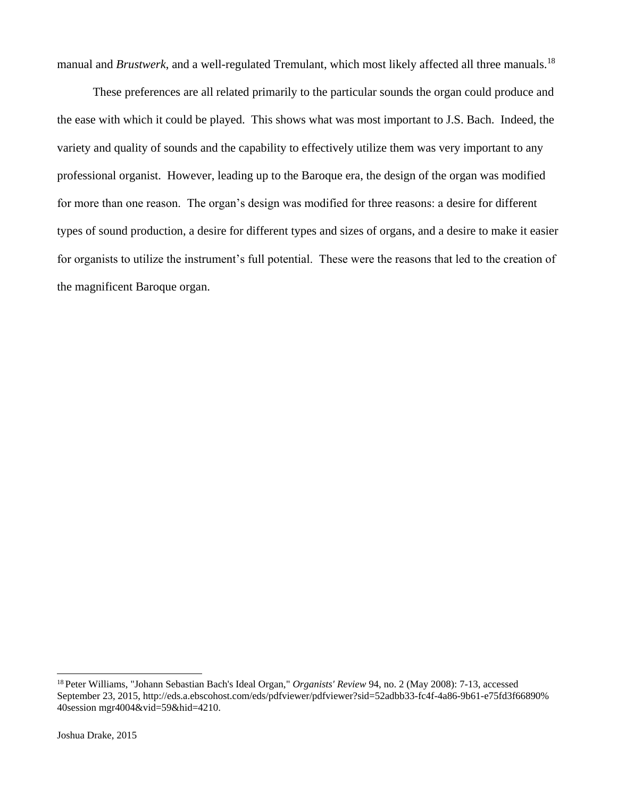manual and *Brustwerk*, and a well-regulated Tremulant, which most likely affected all three manuals.<sup>18</sup>

These preferences are all related primarily to the particular sounds the organ could produce and the ease with which it could be played. This shows what was most important to J.S. Bach. Indeed, the variety and quality of sounds and the capability to effectively utilize them was very important to any professional organist. However, leading up to the Baroque era, the design of the organ was modified for more than one reason. The organ's design was modified for three reasons: a desire for different types of sound production, a desire for different types and sizes of organs, and a desire to make it easier for organists to utilize the instrument's full potential. These were the reasons that led to the creation of the magnificent Baroque organ.

<sup>18</sup> Peter Williams, "Johann Sebastian Bach's Ideal Organ," *Organists' Review* 94, no. 2 (May 2008): 7-13, accessed September 23, 2015, [http://eds.a.ebscohost.com/eds/pdfviewer/pdfviewer?sid=52adbb33-fc4f-4a86-9b61-e75fd3f66890%](http://eds.a.ebscohost.com/eds/pdfviewer/pdfviewer?sid=52adbb33-fc4f-4a86-9b61-e75fd3f66890%25) 40session mgr4004&vid=59&hid=4210.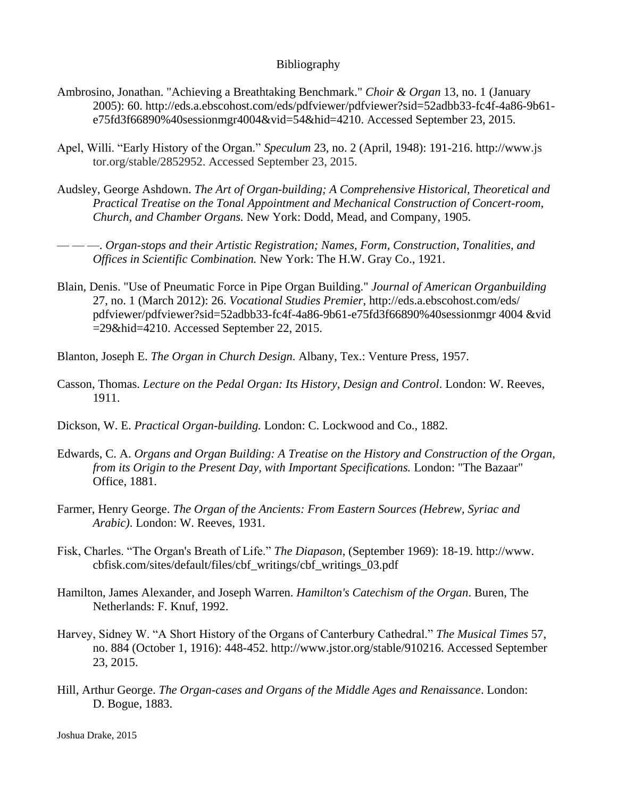## Bibliography

- Ambrosino, Jonathan. "Achieving a Breathtaking Benchmark." *Choir & Organ* 13, no. 1 (January 2005): 60. http://eds.a.ebscohost.com/eds/pdfviewer/pdfviewer?sid=52adbb33-fc4f-4a86-9b61 e75fd3f66890%40sessionmgr4004&vid=54&hid=4210. Accessed September 23, 2015.
- Apel, Willi. "Early History of the Organ." *Speculum* 23, no. 2 (April, 1948): 191-216. [http://www.](http://www/)js tor.org/stable/2852952. Accessed September 23, 2015.
- Audsley, George Ashdown. *The Art of Organ-building; A Comprehensive Historical, Theoretical and Practical Treatise on the Tonal Appointment and Mechanical Construction of Concert-room, Church, and Chamber Organs.* New York: Dodd, Mead, and Company, 1905.
- — —. *Organ-stops and their Artistic Registration; Names, Form, Construction, Tonalities, and Offices in Scientific Combination.* New York: The H.W. Gray Co., 1921.
- Blain, Denis. "Use of Pneumatic Force in Pipe Organ Building." *Journal of American Organbuilding*  27, no. 1 (March 2012): 26. *Vocational Studies Premier*, http://eds.a.ebscohost.com/eds/ pdfviewer/pdfviewer?sid=52adbb33-fc4f-4a86-9b61-e75fd3f66890%40sessionmgr 4004 &vid =29&hid=4210. Accessed September 22, 2015.
- Blanton, Joseph E. *The Organ in Church Design*. Albany, Tex.: Venture Press, 1957.
- Casson, Thomas. *Lecture on the Pedal Organ: Its History, Design and Control*. London: W. Reeves, 1911.
- Dickson, W. E. *Practical Organ-building.* London: C. Lockwood and Co., 1882.
- Edwards, C. A. *Organs and Organ Building: A Treatise on the History and Construction of the Organ, from its Origin to the Present Day, with Important Specifications.* London: "The Bazaar" Office, 1881.
- Farmer, Henry George. *The Organ of the Ancients: From Eastern Sources (Hebrew, Syriac and Arabic)*. London: W. Reeves, 1931.
- Fisk, Charles. "The Organ's Breath of Life." *The Diapason*, (September 1969): 18-19. http://www. cbfisk.com/sites/default/files/cbf\_writings/cbf\_writings\_03.pdf
- Hamilton, James Alexander, and Joseph Warren. *Hamilton's Catechism of the Organ*. Buren, The Netherlands: F. Knuf, 1992.
- Harvey, Sidney W. "A Short History of the Organs of Canterbury Cathedral." *The Musical Times* 57, no. 884 (October 1, 1916): 448-452. http://www.jstor.org/stable/910216. Accessed September 23, 2015.
- Hill, Arthur George. *The Organ-cases and Organs of the Middle Ages and Renaissance*. London: D. Bogue, 1883.